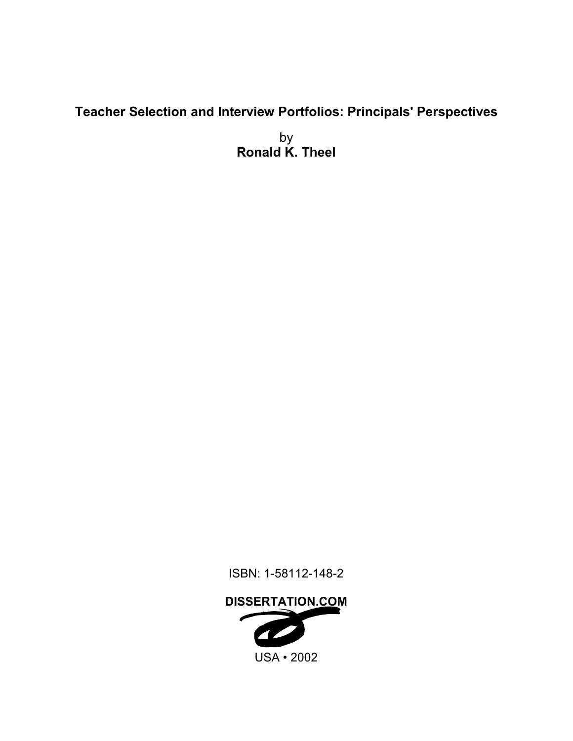# **Teacher Selection and Interview Portfolios: Principals' Perspectives**

by **Ronald K. Theel** 

ISBN: 1-58112-148-2

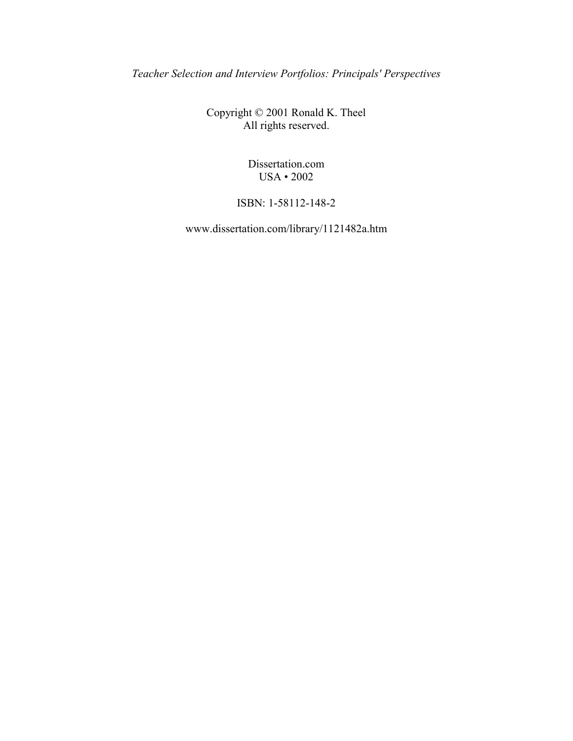*Teacher Selection and Interview Portfolios: Principals' Perspectives* 

Copyright © 2001 Ronald K. Theel All rights reserved.

> Dissertation.com USA • 2002

ISBN: 1-58112-148-2

www.dissertation.com/library/1121482a.htm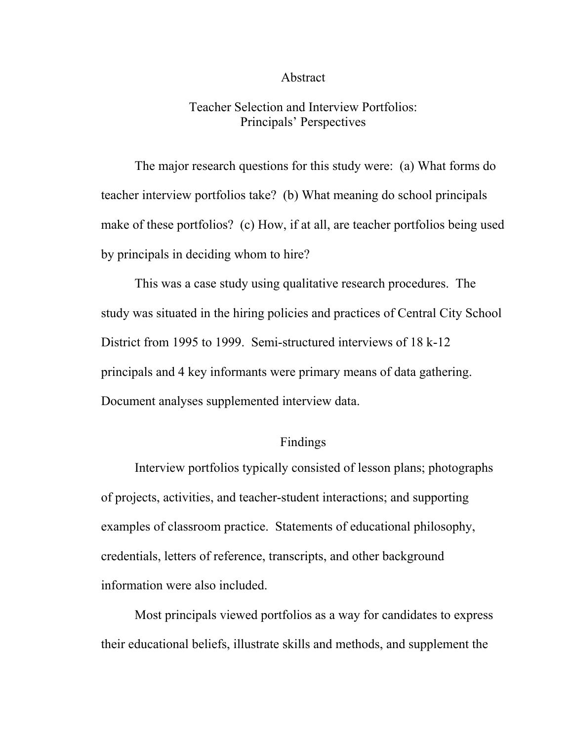#### Abstract

## Teacher Selection and Interview Portfolios: Principals' Perspectives

 The major research questions for this study were: (a) What forms do teacher interview portfolios take? (b) What meaning do school principals make of these portfolios? (c) How, if at all, are teacher portfolios being used by principals in deciding whom to hire?

 This was a case study using qualitative research procedures. The study was situated in the hiring policies and practices of Central City School District from 1995 to 1999. Semi-structured interviews of 18 k-12 principals and 4 key informants were primary means of data gathering. Document analyses supplemented interview data.

### Findings

 Interview portfolios typically consisted of lesson plans; photographs of projects, activities, and teacher-student interactions; and supporting examples of classroom practice. Statements of educational philosophy, credentials, letters of reference, transcripts, and other background information were also included.

 Most principals viewed portfolios as a way for candidates to express their educational beliefs, illustrate skills and methods, and supplement the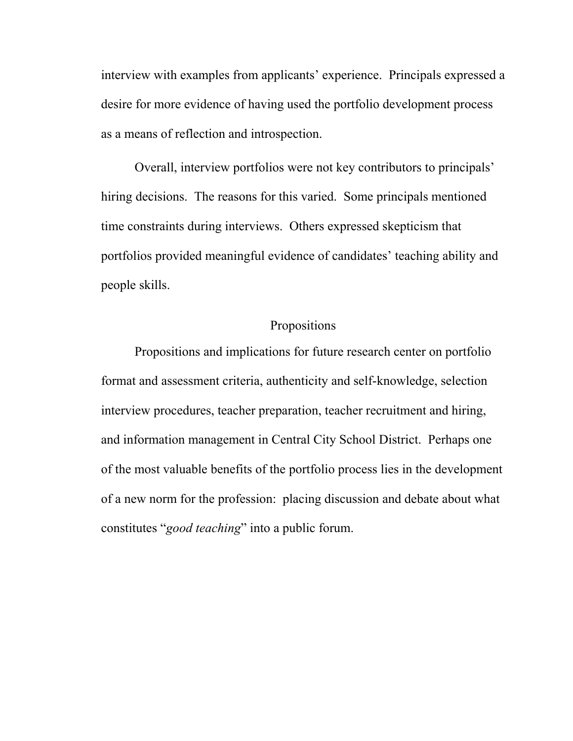interview with examples from applicants' experience. Principals expressed a desire for more evidence of having used the portfolio development process as a means of reflection and introspection.

Overall, interview portfolios were not key contributors to principals<sup>7</sup> hiring decisions. The reasons for this varied. Some principals mentioned time constraints during interviews. Others expressed skepticism that portfolios provided meaningful evidence of candidates' teaching ability and people skills.

# Propositions

 Propositions and implications for future research center on portfolio format and assessment criteria, authenticity and self-knowledge, selection interview procedures, teacher preparation, teacher recruitment and hiring, and information management in Central City School District. Perhaps one of the most valuable benefits of the portfolio process lies in the development of a new norm for the profession: placing discussion and debate about what constitutes "*good teaching*" into a public forum.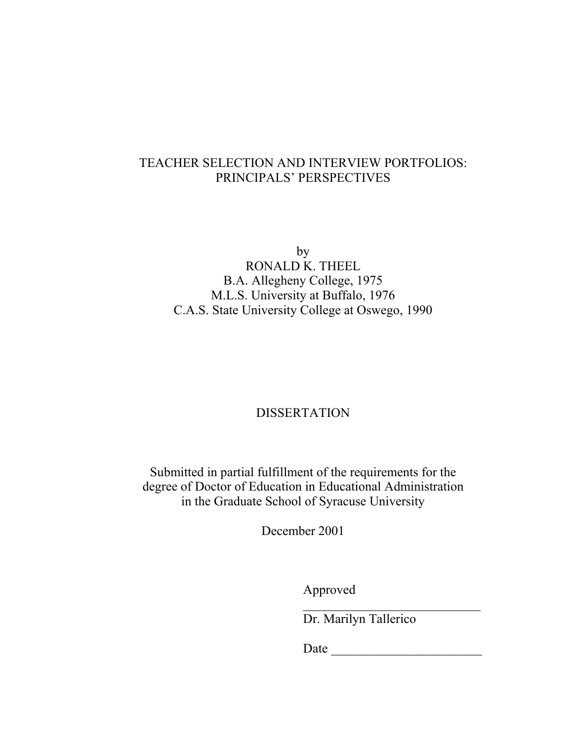# TEACHER SELECTION AND INTERVIEW PORTFOLIOS: PRINCIPALS' PERSPECTIVES

by RONALD K. THEEL B.A. Allegheny College, 1975 M.L.S. University at Buffalo, 1976 C.A.S. State University College at Oswego, 1990

# DISSERTATION

Submitted in partial fulfillment of the requirements for the degree of Doctor of Education in Educational Administration in the Graduate School of Syracuse University

December 2001

Approved

Dr. Marilyn Tallerico

 $\mathcal{L}_\text{max}$ 

Date  $\Box$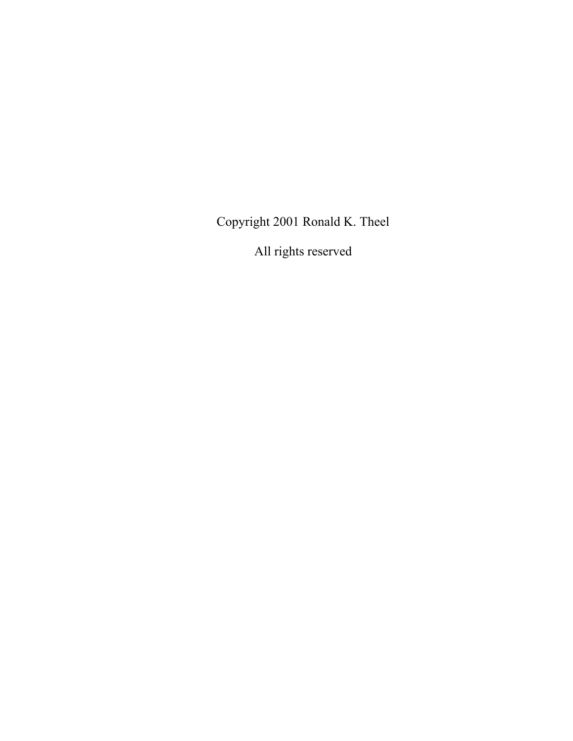Copyright 2001 Ronald K. Theel

All rights reserved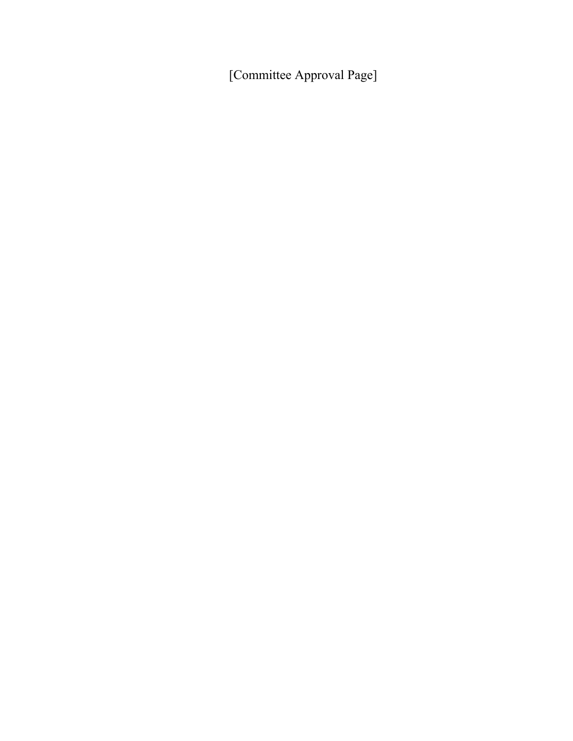[Committee Approval Page]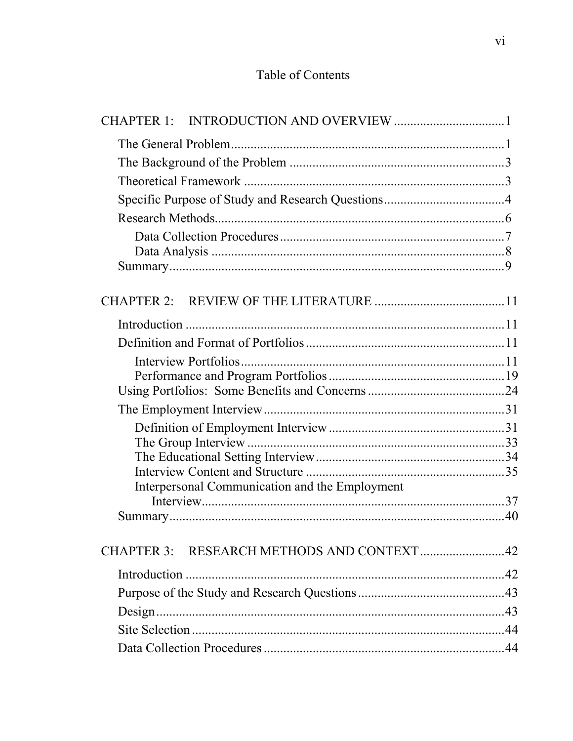# Table of Contents

| <b>CHAPTER 1:</b>                              |  |
|------------------------------------------------|--|
|                                                |  |
|                                                |  |
|                                                |  |
|                                                |  |
|                                                |  |
|                                                |  |
|                                                |  |
|                                                |  |
|                                                |  |
|                                                |  |
|                                                |  |
|                                                |  |
|                                                |  |
|                                                |  |
|                                                |  |
|                                                |  |
|                                                |  |
|                                                |  |
| Interpersonal Communication and the Employment |  |
|                                                |  |
|                                                |  |
|                                                |  |
| CHAPTER 3: RESEARCH METHODS AND CONTEXT42      |  |
|                                                |  |
|                                                |  |
|                                                |  |
|                                                |  |
|                                                |  |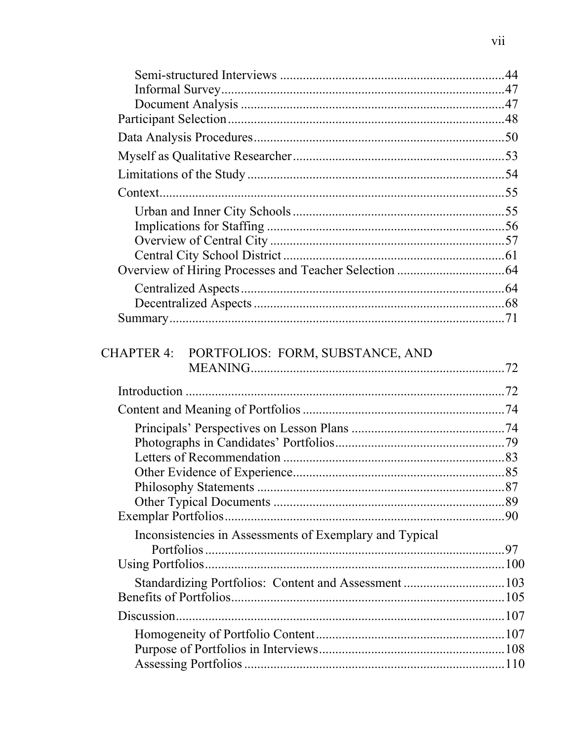| CHAPTER 4: PORTFOLIOS: FORM, SUBSTANCE, AND             |  |
|---------------------------------------------------------|--|
|                                                         |  |
|                                                         |  |
|                                                         |  |
|                                                         |  |
|                                                         |  |
|                                                         |  |
| <b>Philosophy Statements</b>                            |  |
|                                                         |  |
|                                                         |  |
| Inconsistencies in Assessments of Exemplary and Typical |  |
|                                                         |  |
|                                                         |  |
|                                                         |  |
|                                                         |  |
|                                                         |  |
|                                                         |  |
|                                                         |  |
|                                                         |  |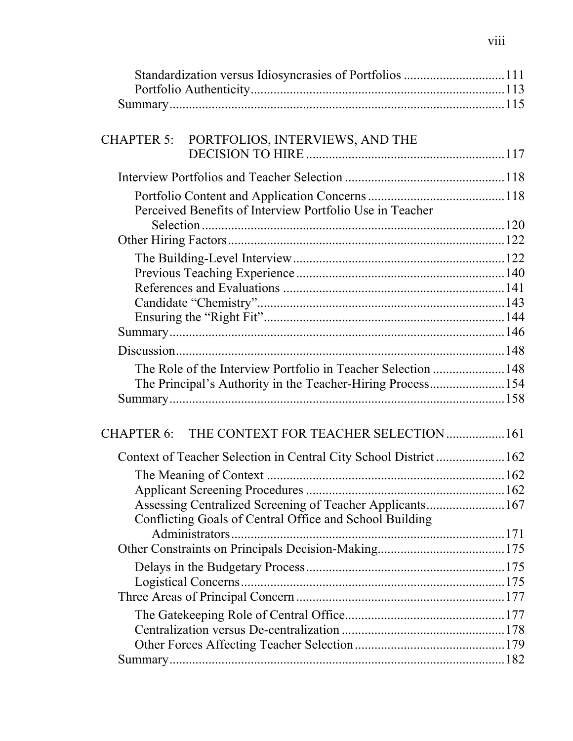| Standardization versus Idiosyncrasies of Portfolios 111           |  |
|-------------------------------------------------------------------|--|
|                                                                   |  |
|                                                                   |  |
| CHAPTER 5: PORTFOLIOS, INTERVIEWS, AND THE                        |  |
|                                                                   |  |
|                                                                   |  |
|                                                                   |  |
| Perceived Benefits of Interview Portfolio Use in Teacher          |  |
|                                                                   |  |
|                                                                   |  |
|                                                                   |  |
|                                                                   |  |
|                                                                   |  |
|                                                                   |  |
|                                                                   |  |
|                                                                   |  |
| The Role of the Interview Portfolio in Teacher Selection 148      |  |
| The Principal's Authority in the Teacher-Hiring Process154        |  |
|                                                                   |  |
|                                                                   |  |
| CHAPTER 6: THE CONTEXT FOR TEACHER SELECTION  161                 |  |
| Context of Teacher Selection in Central City School District  162 |  |
|                                                                   |  |
|                                                                   |  |
| Assessing Centralized Screening of Teacher Applicants167          |  |
| Conflicting Goals of Central Office and School Building           |  |
|                                                                   |  |
|                                                                   |  |
|                                                                   |  |
|                                                                   |  |
|                                                                   |  |
|                                                                   |  |
|                                                                   |  |
|                                                                   |  |
|                                                                   |  |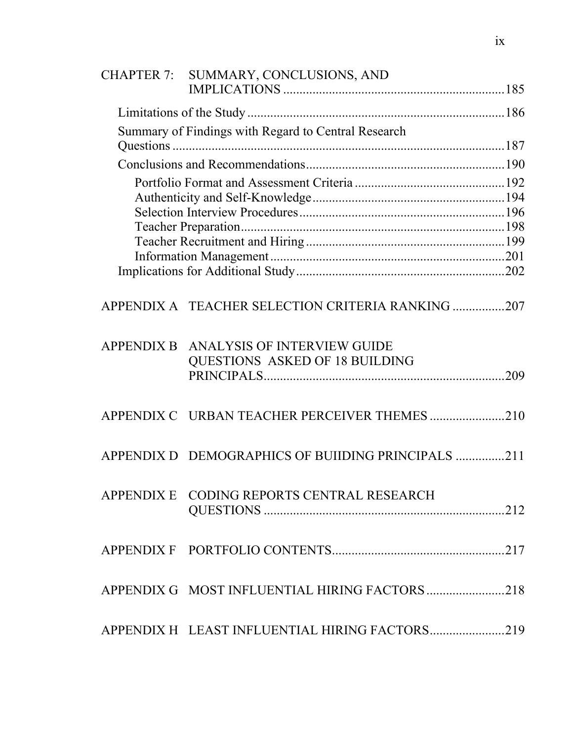| <b>CHAPTER 7:</b> | SUMMARY, CONCLUSIONS, AND                                            |  |
|-------------------|----------------------------------------------------------------------|--|
|                   |                                                                      |  |
|                   | Summary of Findings with Regard to Central Research                  |  |
|                   |                                                                      |  |
|                   |                                                                      |  |
|                   |                                                                      |  |
|                   |                                                                      |  |
|                   |                                                                      |  |
|                   |                                                                      |  |
|                   |                                                                      |  |
|                   | APPENDIX A TEACHER SELECTION CRITERIA RANKING 207                    |  |
| <b>APPENDIX B</b> | ANALYSIS OF INTERVIEW GUIDE<br><b>QUESTIONS ASKED OF 18 BUILDING</b> |  |
|                   |                                                                      |  |
|                   | APPENDIX D DEMOGRAPHICS OF BUIIDING PRINCIPALS 211                   |  |
|                   | APPENDIX E CODING REPORTS CENTRAL RESEARCH                           |  |
|                   |                                                                      |  |
|                   | APPENDIX G MOST INFLUENTIAL HIRING FACTORS 218                       |  |
|                   | APPENDIX H LEAST INFLUENTIAL HIRING FACTORS219                       |  |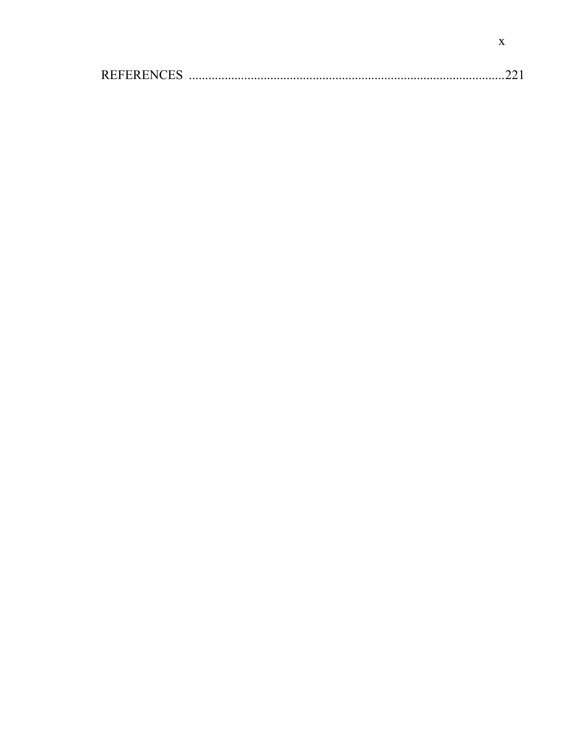| <b>REFERENCES</b> | <u>the state of the contract of the contract of the contract of the contract of the contract of the contract of the contract of the contract of the contract of the contract of the contract of the contract of the contract of</u> |  |  |
|-------------------|-------------------------------------------------------------------------------------------------------------------------------------------------------------------------------------------------------------------------------------|--|--|
|-------------------|-------------------------------------------------------------------------------------------------------------------------------------------------------------------------------------------------------------------------------------|--|--|

 $\mathbf{X}$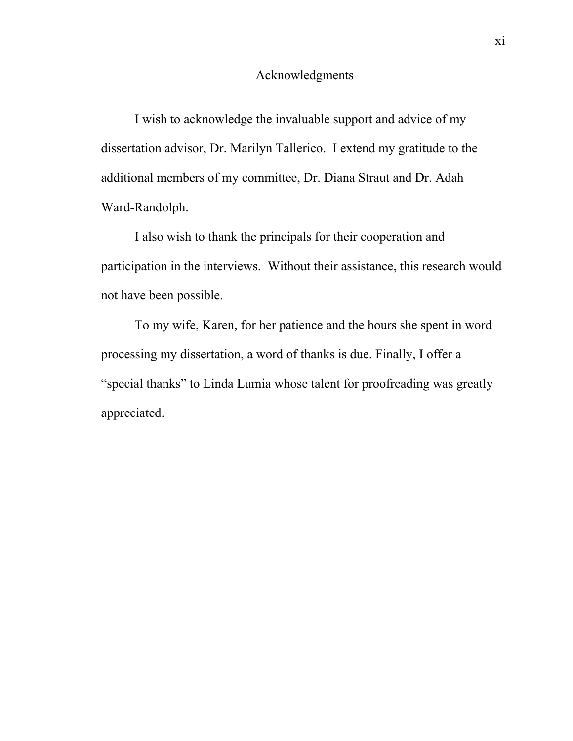#### Acknowledgments

 I wish to acknowledge the invaluable support and advice of my dissertation advisor, Dr. Marilyn Tallerico. I extend my gratitude to the additional members of my committee, Dr. Diana Straut and Dr. Adah Ward-Randolph.

 I also wish to thank the principals for their cooperation and participation in the interviews. Without their assistance, this research would not have been possible.

 To my wife, Karen, for her patience and the hours she spent in word processing my dissertation, a word of thanks is due. Finally, I offer a "special thanks" to Linda Lumia whose talent for proofreading was greatly appreciated.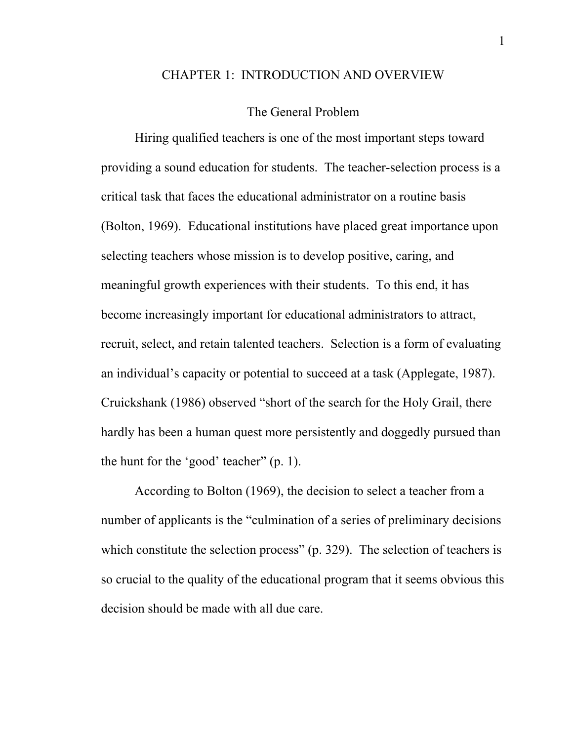#### CHAPTER 1: INTRODUCTION AND OVERVIEW

#### The General Problem

 Hiring qualified teachers is one of the most important steps toward providing a sound education for students. The teacher-selection process is a critical task that faces the educational administrator on a routine basis (Bolton, 1969). Educational institutions have placed great importance upon selecting teachers whose mission is to develop positive, caring, and meaningful growth experiences with their students. To this end, it has become increasingly important for educational administrators to attract, recruit, select, and retain talented teachers. Selection is a form of evaluating an individual's capacity or potential to succeed at a task (Applegate, 1987). Cruickshank (1986) observed "short of the search for the Holy Grail, there hardly has been a human quest more persistently and doggedly pursued than the hunt for the 'good' teacher"  $(p, 1)$ .

 According to Bolton (1969), the decision to select a teacher from a number of applicants is the "culmination of a series of preliminary decisions" which constitute the selection process"  $(p. 329)$ . The selection of teachers is so crucial to the quality of the educational program that it seems obvious this decision should be made with all due care.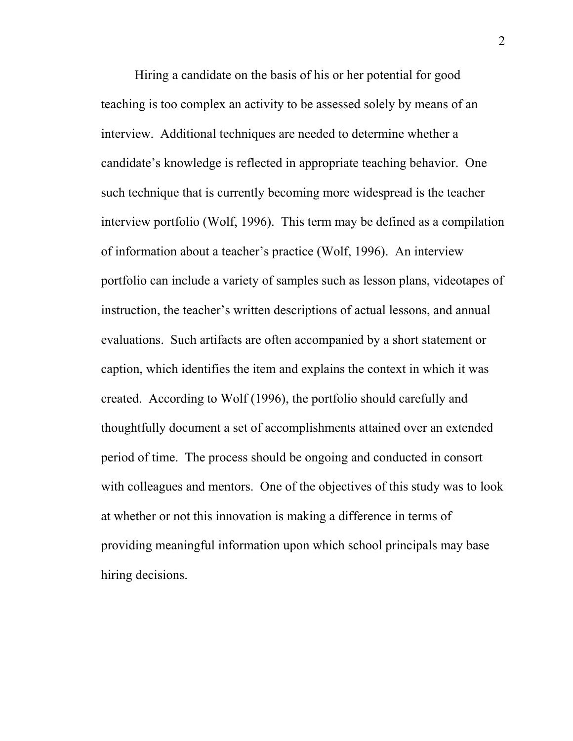Hiring a candidate on the basis of his or her potential for good teaching is too complex an activity to be assessed solely by means of an interview. Additional techniques are needed to determine whether a candidate's knowledge is reflected in appropriate teaching behavior. One such technique that is currently becoming more widespread is the teacher interview portfolio (Wolf, 1996). This term may be defined as a compilation of information about a teacher's practice (Wolf, 1996). An interview portfolio can include a variety of samples such as lesson plans, videotapes of instruction, the teacher's written descriptions of actual lessons, and annual evaluations. Such artifacts are often accompanied by a short statement or caption, which identifies the item and explains the context in which it was created. According to Wolf (1996), the portfolio should carefully and thoughtfully document a set of accomplishments attained over an extended period of time. The process should be ongoing and conducted in consort with colleagues and mentors. One of the objectives of this study was to look at whether or not this innovation is making a difference in terms of providing meaningful information upon which school principals may base hiring decisions.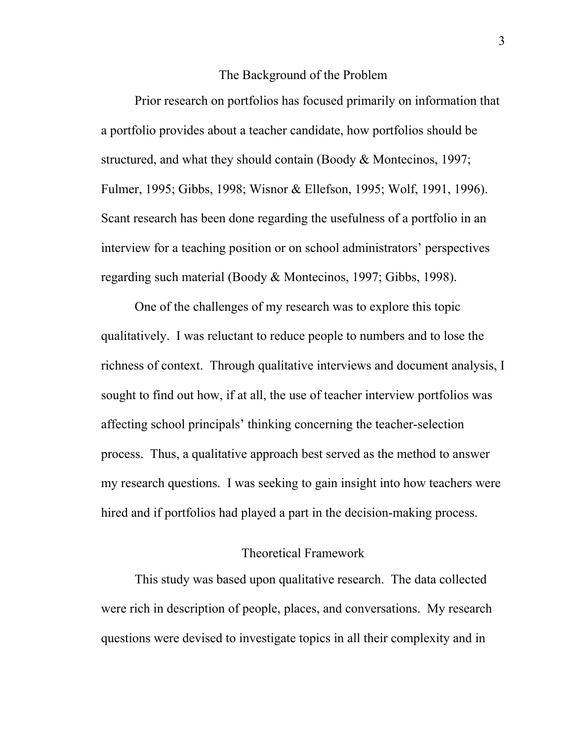#### The Background of the Problem

 Prior research on portfolios has focused primarily on information that a portfolio provides about a teacher candidate, how portfolios should be structured, and what they should contain (Boody & Montecinos, 1997; Fulmer, 1995; Gibbs, 1998; Wisnor & Ellefson, 1995; Wolf, 1991, 1996). Scant research has been done regarding the usefulness of a portfolio in an interview for a teaching position or on school administrators' perspectives regarding such material (Boody & Montecinos, 1997; Gibbs, 1998).

 One of the challenges of my research was to explore this topic qualitatively. I was reluctant to reduce people to numbers and to lose the richness of context. Through qualitative interviews and document analysis, I sought to find out how, if at all, the use of teacher interview portfolios was affecting school principals' thinking concerning the teacher-selection process. Thus, a qualitative approach best served as the method to answer my research questions. I was seeking to gain insight into how teachers were hired and if portfolios had played a part in the decision-making process.

## Theoretical Framework

 This study was based upon qualitative research. The data collected were rich in description of people, places, and conversations. My research questions were devised to investigate topics in all their complexity and in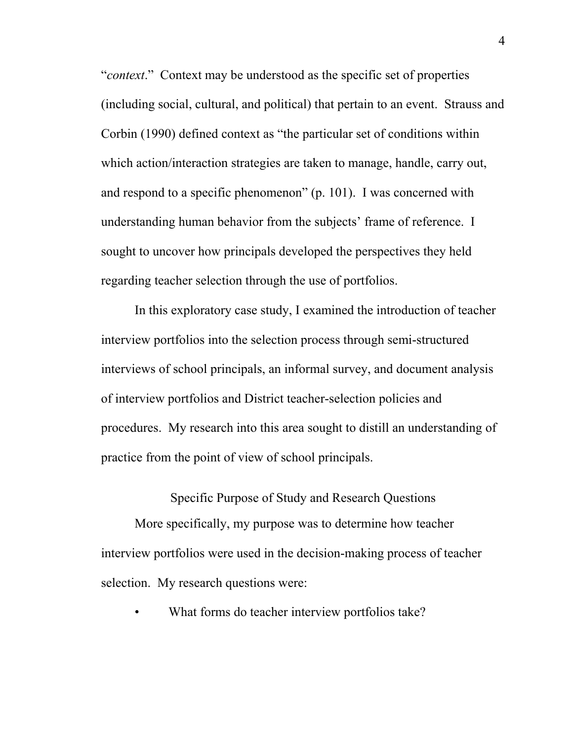*<sup>4</sup>context*.<sup>*n*</sup> Context may be understood as the specific set of properties (including social, cultural, and political) that pertain to an event. Strauss and Corbin (1990) defined context as "the particular set of conditions within which action/interaction strategies are taken to manage, handle, carry out, and respond to a specific phenomenon"  $(p. 101)$ . I was concerned with understanding human behavior from the subjects' frame of reference. I sought to uncover how principals developed the perspectives they held regarding teacher selection through the use of portfolios.

 In this exploratory case study, I examined the introduction of teacher interview portfolios into the selection process through semi-structured interviews of school principals, an informal survey, and document analysis of interview portfolios and District teacher-selection policies and procedures. My research into this area sought to distill an understanding of practice from the point of view of school principals.

Specific Purpose of Study and Research Questions

 More specifically, my purpose was to determine how teacher interview portfolios were used in the decision-making process of teacher selection. My research questions were:

What forms do teacher interview portfolios take?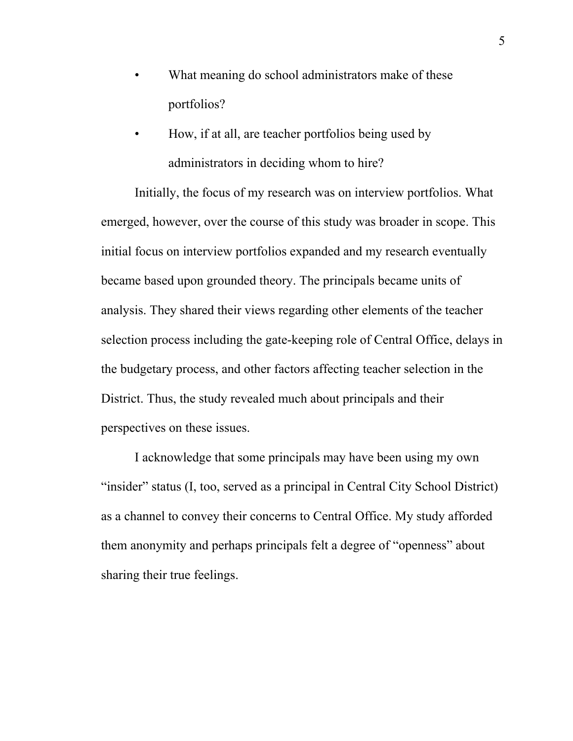- What meaning do school administrators make of these portfolios?
- How, if at all, are teacher portfolios being used by administrators in deciding whom to hire?

Initially, the focus of my research was on interview portfolios. What emerged, however, over the course of this study was broader in scope. This initial focus on interview portfolios expanded and my research eventually became based upon grounded theory. The principals became units of analysis. They shared their views regarding other elements of the teacher selection process including the gate-keeping role of Central Office, delays in the budgetary process, and other factors affecting teacher selection in the District. Thus, the study revealed much about principals and their perspectives on these issues.

I acknowledge that some principals may have been using my own "insider" status (I, too, served as a principal in Central City School District) as a channel to convey their concerns to Central Office. My study afforded them anonymity and perhaps principals felt a degree of "openness" about sharing their true feelings.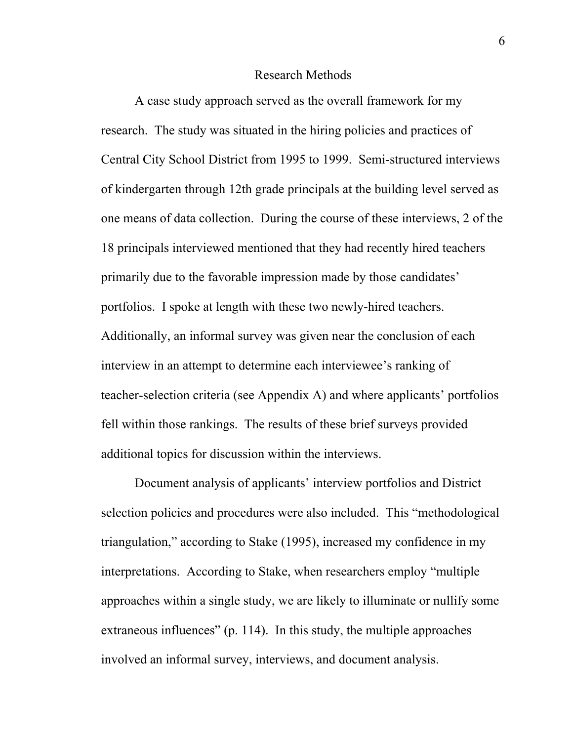#### Research Methods

 A case study approach served as the overall framework for my research. The study was situated in the hiring policies and practices of Central City School District from 1995 to 1999. Semi-structured interviews of kindergarten through 12th grade principals at the building level served as one means of data collection. During the course of these interviews, 2 of the 18 principals interviewed mentioned that they had recently hired teachers primarily due to the favorable impression made by those candidates' portfolios. I spoke at length with these two newly-hired teachers. Additionally, an informal survey was given near the conclusion of each interview in an attempt to determine each interviewee's ranking of teacher-selection criteria (see Appendix A) and where applicants' portfolios fell within those rankings. The results of these brief surveys provided additional topics for discussion within the interviews.

Document analysis of applicants' interview portfolios and District selection policies and procedures were also included. This "methodological" triangulation," according to Stake (1995), increased my confidence in my interpretations. According to Stake, when researchers employ "multiple" approaches within a single study, we are likely to illuminate or nullify some extraneous influences" (p. 114). In this study, the multiple approaches involved an informal survey, interviews, and document analysis.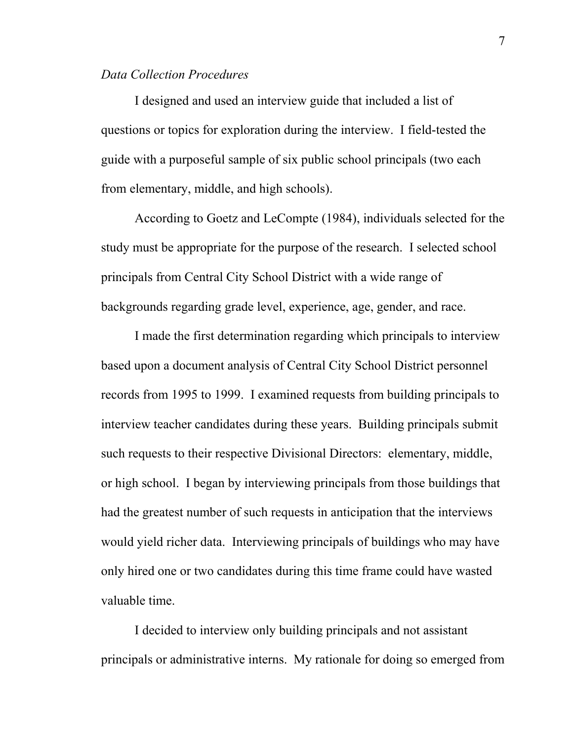#### *Data Collection Procedures*

 I designed and used an interview guide that included a list of questions or topics for exploration during the interview. I field-tested the guide with a purposeful sample of six public school principals (two each from elementary, middle, and high schools).

 According to Goetz and LeCompte (1984), individuals selected for the study must be appropriate for the purpose of the research. I selected school principals from Central City School District with a wide range of backgrounds regarding grade level, experience, age, gender, and race.

 I made the first determination regarding which principals to interview based upon a document analysis of Central City School District personnel records from 1995 to 1999. I examined requests from building principals to interview teacher candidates during these years. Building principals submit such requests to their respective Divisional Directors: elementary, middle, or high school. I began by interviewing principals from those buildings that had the greatest number of such requests in anticipation that the interviews would yield richer data. Interviewing principals of buildings who may have only hired one or two candidates during this time frame could have wasted valuable time.

 I decided to interview only building principals and not assistant principals or administrative interns. My rationale for doing so emerged from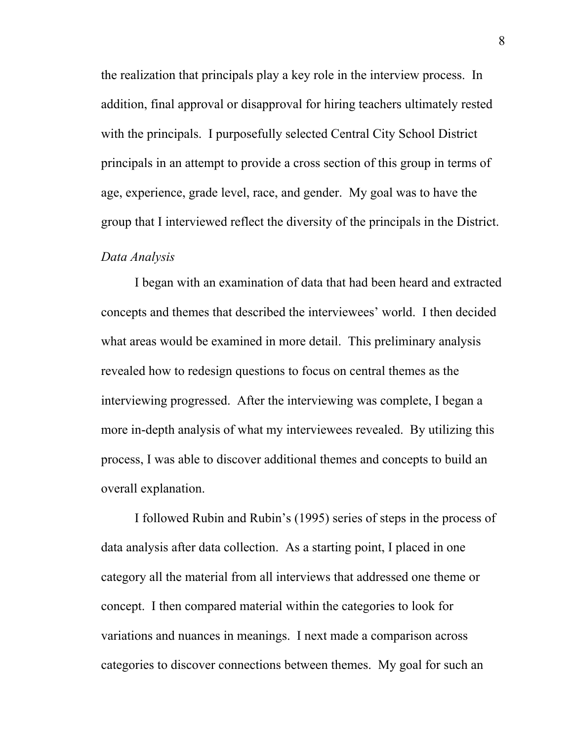the realization that principals play a key role in the interview process. In addition, final approval or disapproval for hiring teachers ultimately rested with the principals. I purposefully selected Central City School District principals in an attempt to provide a cross section of this group in terms of age, experience, grade level, race, and gender. My goal was to have the group that I interviewed reflect the diversity of the principals in the District.

#### *Data Analysis*

 I began with an examination of data that had been heard and extracted concepts and themes that described the interviewees' world. I then decided what areas would be examined in more detail. This preliminary analysis revealed how to redesign questions to focus on central themes as the interviewing progressed. After the interviewing was complete, I began a more in-depth analysis of what my interviewees revealed. By utilizing this process, I was able to discover additional themes and concepts to build an overall explanation.

I followed Rubin and Rubin's (1995) series of steps in the process of data analysis after data collection. As a starting point, I placed in one category all the material from all interviews that addressed one theme or concept. I then compared material within the categories to look for variations and nuances in meanings. I next made a comparison across categories to discover connections between themes. My goal for such an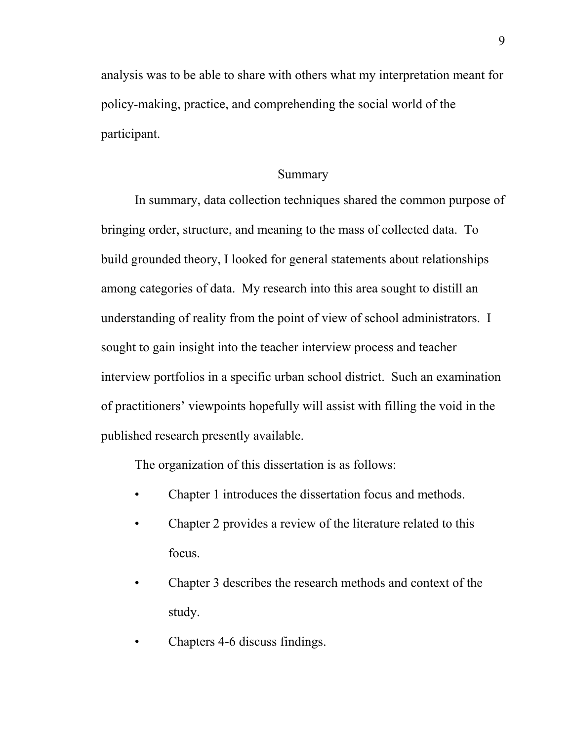analysis was to be able to share with others what my interpretation meant for policy-making, practice, and comprehending the social world of the participant.

#### Summary

 In summary, data collection techniques shared the common purpose of bringing order, structure, and meaning to the mass of collected data. To build grounded theory, I looked for general statements about relationships among categories of data. My research into this area sought to distill an understanding of reality from the point of view of school administrators. I sought to gain insight into the teacher interview process and teacher interview portfolios in a specific urban school district. Such an examination of practitioners' viewpoints hopefully will assist with filling the void in the published research presently available.

The organization of this dissertation is as follows:

- Chapter 1 introduces the dissertation focus and methods.
- Chapter 2 provides a review of the literature related to this focus.
- Chapter 3 describes the research methods and context of the study.
- Chapters 4-6 discuss findings.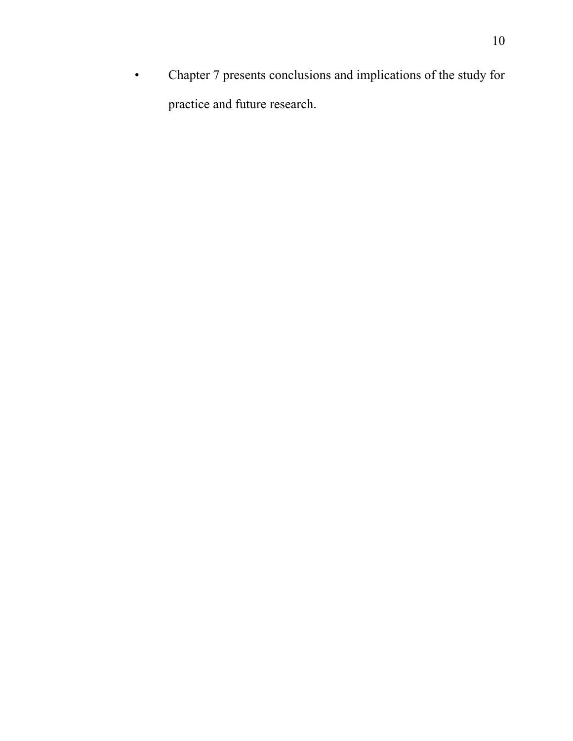• Chapter 7 presents conclusions and implications of the study for practice and future research.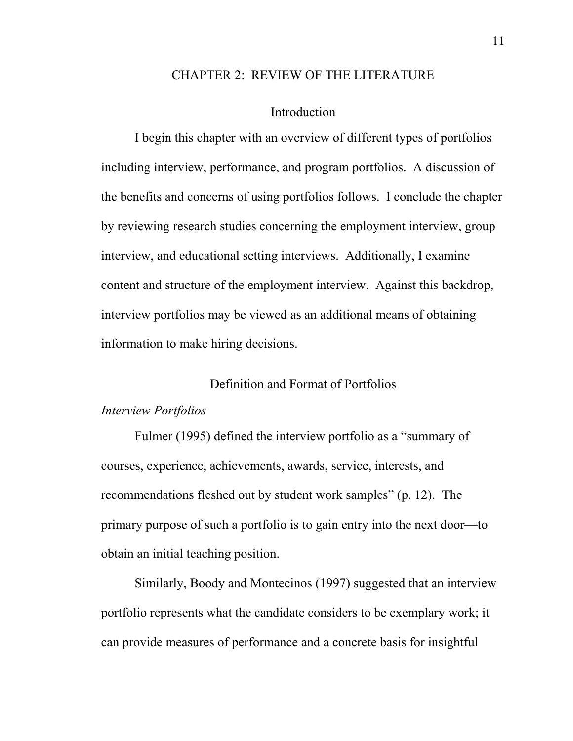#### CHAPTER 2: REVIEW OF THE LITERATURE

#### Introduction

 I begin this chapter with an overview of different types of portfolios including interview, performance, and program portfolios. A discussion of the benefits and concerns of using portfolios follows. I conclude the chapter by reviewing research studies concerning the employment interview, group interview, and educational setting interviews. Additionally, I examine content and structure of the employment interview. Against this backdrop, interview portfolios may be viewed as an additional means of obtaining information to make hiring decisions.

#### Definition and Format of Portfolios

#### *Interview Portfolios*

Fulmer (1995) defined the interview portfolio as a "summary of courses, experience, achievements, awards, service, interests, and recommendations fleshed out by student work samples" (p. 12). The primary purpose of such a portfolio is to gain entry into the next door—to obtain an initial teaching position.

 Similarly, Boody and Montecinos (1997) suggested that an interview portfolio represents what the candidate considers to be exemplary work; it can provide measures of performance and a concrete basis for insightful